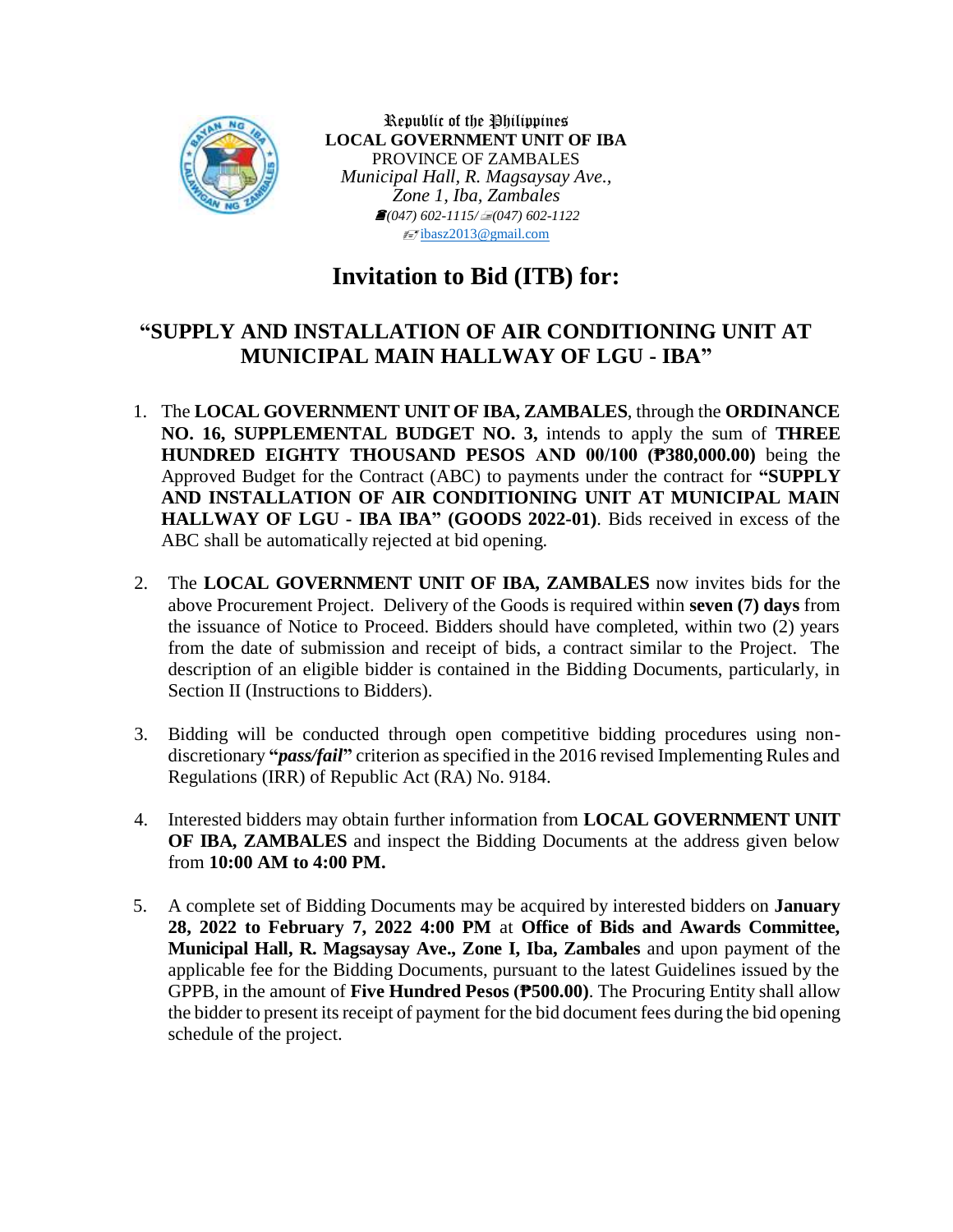

Republic of the Philippines **LOCAL GOVERNMENT UNIT OF IBA** PROVINCE OF ZAMBALES *Municipal Hall, R. Magsaysay Ave., Zone 1, Iba, Zambales (047) 602-1115/(047) 602-1122*  $\equiv$ 7[ibasz2013@gmail.com](mailto:ibasz2013@gmail.com)

# **Invitation to Bid (ITB) for:**

## **"SUPPLY AND INSTALLATION OF AIR CONDITIONING UNIT AT MUNICIPAL MAIN HALLWAY OF LGU - IBA"**

- 1. The **LOCAL GOVERNMENT UNIT OF IBA, ZAMBALES**, through the **ORDINANCE NO. 16, SUPPLEMENTAL BUDGET NO. 3,** intends to apply the sum of **THREE HUNDRED EIGHTY THOUSAND PESOS AND 00/100 (₱380,000.00)** being the Approved Budget for the Contract (ABC) to payments under the contract for **"SUPPLY AND INSTALLATION OF AIR CONDITIONING UNIT AT MUNICIPAL MAIN HALLWAY OF LGU - IBA IBA" (GOODS 2022-01)**. Bids received in excess of the ABC shall be automatically rejected at bid opening.
- 2. The **LOCAL GOVERNMENT UNIT OF IBA, ZAMBALES** now invites bids for the above Procurement Project. Delivery of the Goods is required within **seven (7) days** from the issuance of Notice to Proceed. Bidders should have completed, within two (2) years from the date of submission and receipt of bids, a contract similar to the Project. The description of an eligible bidder is contained in the Bidding Documents, particularly, in Section II (Instructions to Bidders).
- 3. Bidding will be conducted through open competitive bidding procedures using nondiscretionary **"***pass/fail***"** criterion as specified in the 2016 revised Implementing Rules and Regulations (IRR) of Republic Act (RA) No. 9184.
- 4. Interested bidders may obtain further information from **LOCAL GOVERNMENT UNIT OF IBA, ZAMBALES** and inspect the Bidding Documents at the address given below from **10:00 AM to 4:00 PM.**
- 5. A complete set of Bidding Documents may be acquired by interested bidders on **January 28, 2022 to February 7, 2022 4:00 PM** at **Office of Bids and Awards Committee, Municipal Hall, R. Magsaysay Ave., Zone I, Iba, Zambales** and upon payment of the applicable fee for the Bidding Documents, pursuant to the latest Guidelines issued by the GPPB, in the amount of **Five Hundred Pesos (₱500.00)**. The Procuring Entity shall allow the bidder to present its receipt of payment for the bid document fees during the bid opening schedule of the project.